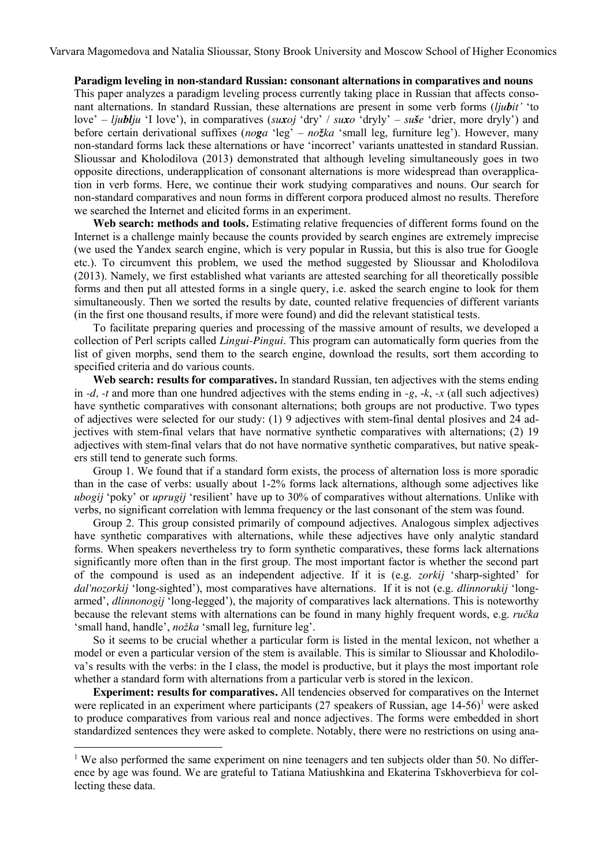Varvara Magomedova and Natalia Slioussar, Stony Brook University and Moscow School of Higher Economics

## **Paradigm leveling in non-standard Russian: consonant alternations in comparatives and nouns**

This paper analyzes a paradigm leveling process currently taking place in Russian that affects consonant alternations. In standard Russian, these alternations are present in some verb forms (*ljubit'* 'to love' – *ljublju* 'I love'), in comparatives (*suxoj* 'dry' / *suxo* 'dryly' – *suše* 'drier, more dryly') and before certain derivational suffixes (*noga* 'leg' – *nožka* 'small leg, furniture leg'). However, many non-standard forms lack these alternations or have 'incorrect' variants unattested in standard Russian. Slioussar and Kholodilova (2013) demonstrated that although leveling simultaneously goes in two opposite directions, underapplication of consonant alternations is more widespread than overapplication in verb forms. Here, we continue their work studying comparatives and nouns. Our search for non-standard comparatives and noun forms in different corpora produced almost no results. Therefore we searched the Internet and elicited forms in an experiment.

**Web search: methods and tools.** Estimating relative frequencies of different forms found on the Internet is a challenge mainly because the counts provided by search engines are extremely imprecise (we used the Yandex search engine, which is very popular in Russia, but this is also true for Google etc.). To circumvent this problem, we used the method suggested by Slioussar and Kholodilova (2013). Namely, we first established what variants are attested searching for all theoretically possible forms and then put all attested forms in a single query, i.e. asked the search engine to look for them simultaneously. Then we sorted the results by date, counted relative frequencies of different variants (in the first one thousand results, if more were found) and did the relevant statistical tests.

To facilitate preparing queries and processing of the massive amount of results, we developed a collection of Perl scripts called *Lingui-Pingui*. This program can automatically form queries from the list of given morphs, send them to the search engine, download the results, sort them according to specified criteria and do various counts.

**Web search: results for comparatives.** In standard Russian, ten adjectives with the stems ending in *-d, -t* and more than one hundred adjectives with the stems ending in *-g*, -*k*, *-x* (all such adjectives) have synthetic comparatives with consonant alternations; both groups are not productive. Two types of adjectives were selected for our study: (1) 9 adjectives with stem-final dental plosives and 24 adjectives with stem-final velars that have normative synthetic comparatives with alternations; (2) 19 adjectives with stem-final velars that do not have normative synthetic comparatives, but native speakers still tend to generate such forms.

Group 1. We found that if a standard form exists, the process of alternation loss is more sporadic than in the case of verbs: usually about 1-2% forms lack alternations, although some adjectives like *ubogij* 'poky' or *uprugij* 'resilient' have up to 30% of comparatives without alternations. Unlike with verbs, no significant correlation with lemma frequency or the last consonant of the stem was found.

Group 2. This group consisted primarily of compound adjectives. Analogous simplex adjectives have synthetic comparatives with alternations, while these adjectives have only analytic standard forms. When speakers nevertheless try to form synthetic comparatives, these forms lack alternations significantly more often than in the first group. The most important factor is whether the second part of the compound is used as an independent adjective. If it is (e.g. *zorkij* 'sharp-sighted' for *dal'nozorkij* 'long-sighted'), most comparatives have alternations. If it is not (e.g. *dlinnorukij* 'longarmed', *dlinnonogij* 'long-legged'), the majority of comparatives lack alternations. This is noteworthy because the relevant stems with alternations can be found in many highly frequent words, e.g. *ručka* 'small hand, handle', *nožka* 'small leg, furniture leg'.

So it seems to be crucial whether a particular form is listed in the mental lexicon, not whether a model or even a particular version of the stem is available. This is similar to Slioussar and Kholodilova's results with the verbs: in the I class, the model is productive, but it plays the most important role whether a standard form with alternations from a particular verb is stored in the lexicon.

**Experiment: results for comparatives.** All tendencies observed for comparatives on the Internet were replicated in an experiment where participants (27 speakers of Russian, age 14-56)<sup>1</sup> were asked to produce comparatives from various real and nonce adjectives. The forms were embedded in short standardized sentences they were asked to complete. Notably, there were no restrictions on using ana-

1

<sup>&</sup>lt;sup>1</sup> We also performed the same experiment on nine teenagers and ten subjects older than 50. No difference by age was found. We are grateful to Tatiana Matiushkina and Ekaterina Tskhoverbieva for collecting these data.